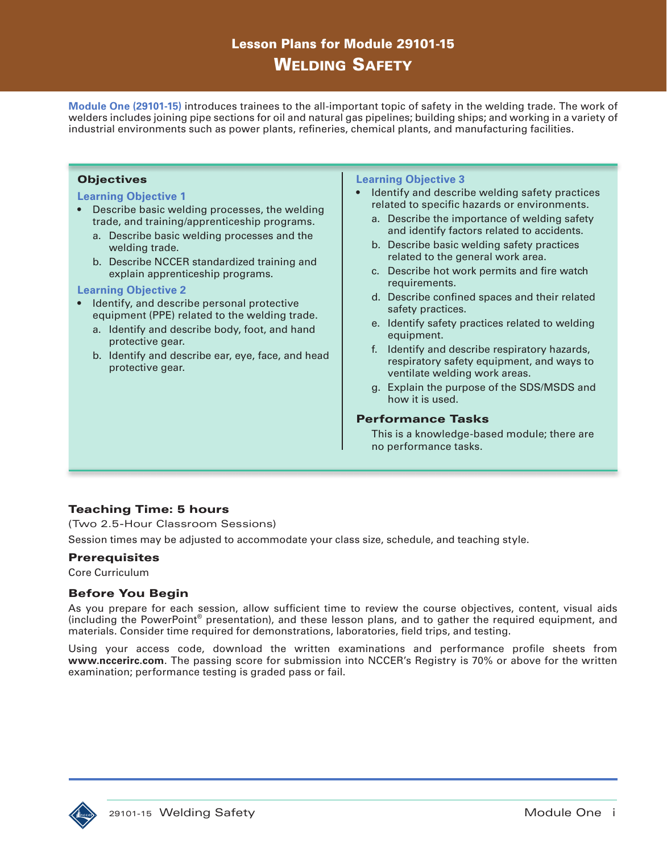# Lesson Plans for Module 29101-15 Welding Safety

**Module One (29101-15)** introduces trainees to the all-important topic of safety in the welding trade. The work of welders includes joining pipe sections for oil and natural gas pipelines; building ships; and working in a variety of industrial environments such as power plants, refineries, chemical plants, and manufacturing facilities.

#### **Objectives**

#### **Learning Objective 1**

- Describe basic welding processes, the welding trade, and training/apprenticeship programs.
	- a. Describe basic welding processes and the welding trade.
	- b. Describe NCCER standardized training and explain apprenticeship programs.

#### **Learning Objective 2**

- Identify, and describe personal protective equipment (PPE) related to the welding trade.
	- a. Identify and describe body, foot, and hand protective gear.
	- b. Identify and describe ear, eye, face, and head protective gear.

#### **Learning Objective 3**

- Identify and describe welding safety practices related to specific hazards or environments.
	- a. Describe the importance of welding safety and identify factors related to accidents.
	- b. Describe basic welding safety practices related to the general work area.
	- c. Describe hot work permits and fire watch requirements.
	- d. Describe confined spaces and their related safety practices.
	- e. Identify safety practices related to welding equipment.
	- f. Identify and describe respiratory hazards, respiratory safety equipment, and ways to ventilate welding work areas.
	- g. Explain the purpose of the SDS/MSDS and how it is used.

#### Performance Tasks

This is a knowledge-based module; there are no performance tasks.

## Teaching Time: 5 hours

(Two 2.5-Hour Classroom Sessions)

Session times may be adjusted to accommodate your class size, schedule, and teaching style.

#### **Prerequisites**

Core Curriculum

### Before You Begin

As you prepare for each session, allow sufficient time to review the course objectives, content, visual aids (including the PowerPoint® presentation), and these lesson plans, and to gather the required equipment, and materials. Consider time required for demonstrations, laboratories, field trips, and testing.

Using your access code, download the written examinations and performance profile sheets from **www.nccerirc.com**. The passing score for submission into NCCER's Registry is 70% or above for the written examination; performance testing is graded pass or fail.

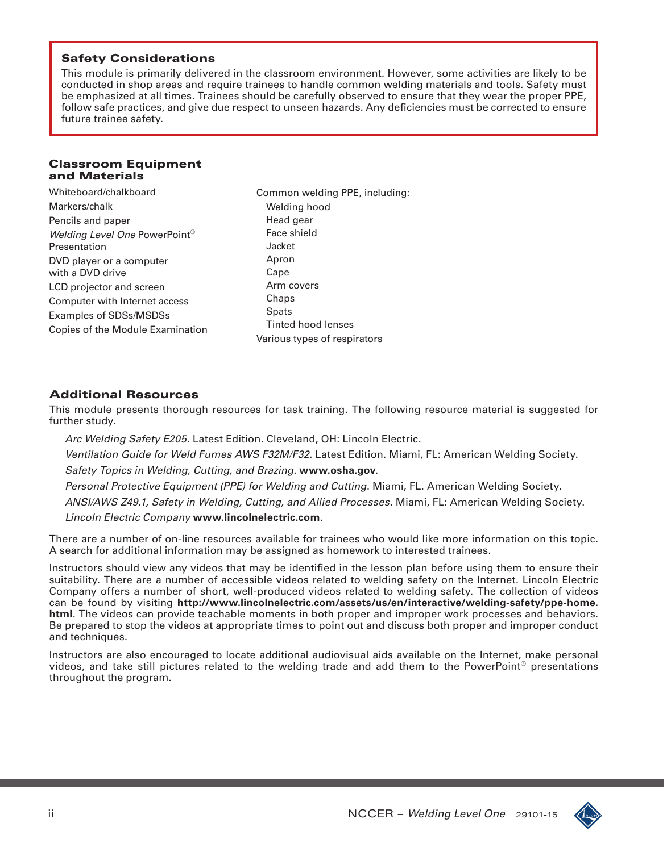### Safety Considerations

This module is primarily delivered in the classroom environment. However, some activities are likely to be conducted in shop areas and require trainees to handle common welding materials and tools. Safety must be emphasized at all times. Trainees should be carefully observed to ensure that they wear the proper PPE, follow safe practices, and give due respect to unseen hazards. Any deficiencies must be corrected to ensure future trainee safety.

#### Classroom Equipment and Materials

Whiteboard/chalkboard Markers/chalk Pencils and paper *Welding Level One* PowerPoint® Presentation DVD player or a computer with a DVD drive LCD projector and screen Computer with Internet access Examples of SDSs/MSDSs Copies of the Module Examination Head gear Face shield Jacket Apron Cape Arm covers Chaps **Spats** 

Common welding PPE, including: Welding hood Tinted hood lenses Various types of respirators

## Additional Resources

This module presents thorough resources for task training. The following resource material is suggested for further study.

 *Arc Welding Safety E205*. Latest Edition. Cleveland, OH: Lincoln Electric.  *Ventilation Guide for Weld Fumes AWS F32M/F32*. Latest Edition. Miami, FL: American Welding Society.  *Safety Topics in Welding, Cutting, and Brazing.* **www.osha.gov**.  *Personal Protective Equipment (PPE) for Welding and Cutting*. Miami, FL. American Welding Society.  *ANSI/AWS Z49.1, Safety in Welding, Cutting, and Allied Processes*. Miami, FL: American Welding Society.  *Lincoln Electric Company* **www.lincolnelectric.com***.*

There are a number of on-line resources available for trainees who would like more information on this topic. A search for additional information may be assigned as homework to interested trainees.

Instructors should view any videos that may be identified in the lesson plan before using them to ensure their suitability. There are a number of accessible videos related to welding safety on the Internet. Lincoln Electric Company offers a number of short, well-produced videos related to welding safety. The collection of videos can be found by visiting **http://www.lincolnelectric.com/assets/us/en/interactive/welding-safety/ppe-home. html**. The videos can provide teachable moments in both proper and improper work processes and behaviors. Be prepared to stop the videos at appropriate times to point out and discuss both proper and improper conduct and techniques.

Instructors are also encouraged to locate additional audiovisual aids available on the Internet, make personal videos, and take still pictures related to the welding trade and add them to the PowerPoint<sup>®</sup> presentations throughout the program.

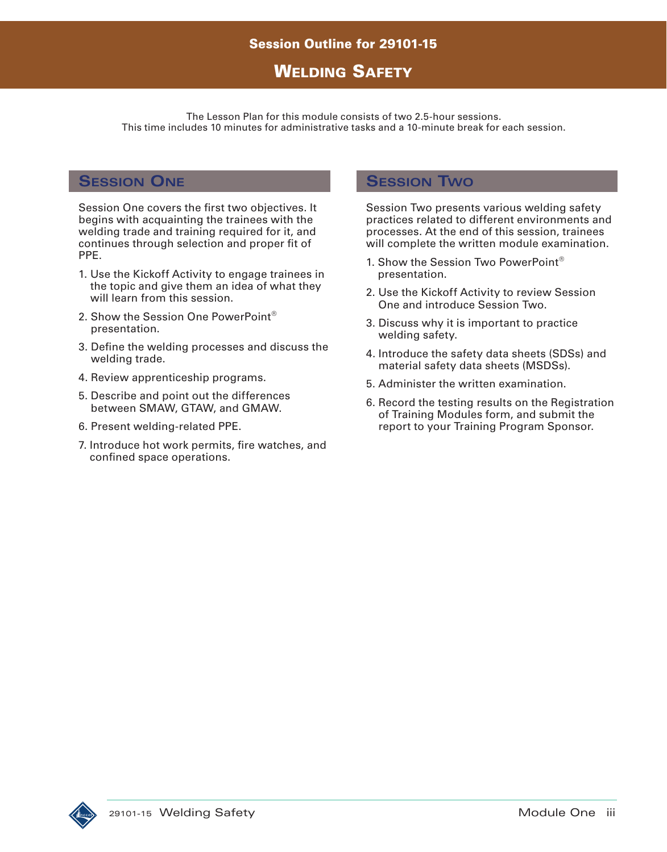# **WELDING SAFETY**

The Lesson Plan for this module consists of two 2.5-hour sessions. This time includes 10 minutes for administrative tasks and a 10-minute break for each session.

# **Session One**

Session One covers the first two objectives. It begins with acquainting the trainees with the welding trade and training required for it, and continues through selection and proper fit of PPE.

- 1. Use the Kickoff Activity to engage trainees in the topic and give them an idea of what they will learn from this session.
- 2. Show the Session One PowerPoint® presentation.
- 3. Define the welding processes and discuss the welding trade.
- 4. Review apprenticeship programs.
- 5. Describe and point out the differences between SMAW, GTAW, and GMAW.
- 6. Present welding-related PPE.
- 7. Introduce hot work permits, fire watches, and confined space operations.

# **Session Two**

Session Two presents various welding safety practices related to different environments and processes. At the end of this session, trainees will complete the written module examination.

- 1. Show the Session Two PowerPoint® presentation.
- 2. Use the Kickoff Activity to review Session One and introduce Session Two.
- 3. Discuss why it is important to practice welding safety.
- 4. Introduce the safety data sheets (SDSs) and material safety data sheets (MSDSs).
- 5. Administer the written examination.
- 6. Record the testing results on the Registration of Training Modules form, and submit the report to your Training Program Sponsor.